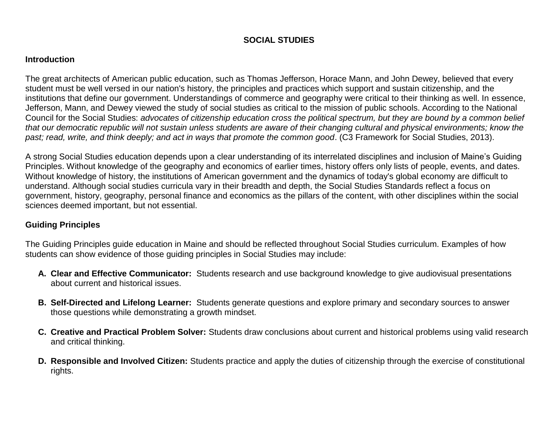# **SOCIAL STUDIES**

### **Introduction**

The great architects of American public education, such as Thomas Jefferson, Horace Mann, and John Dewey, believed that every student must be well versed in our nation's history, the principles and practices which support and sustain citizenship, and the institutions that define our government. Understandings of commerce and geography were critical to their thinking as well. In essence, Jefferson, Mann, and Dewey viewed the study of social studies as critical to the mission of public schools. According to the National Council for the Social Studies: *advocates of citizenship education cross the political spectrum, but they are bound by a common belief that our democratic republic will not sustain unless students are aware of their changing cultural and physical environments; know the past; read, write, and think deeply; and act in ways that promote the common good*. (C3 Framework for Social Studies, 2013).

A strong Social Studies education depends upon a clear understanding of its interrelated disciplines and inclusion of Maine's Guiding Principles. Without knowledge of the geography and economics of earlier times, history offers only lists of people, events, and dates. Without knowledge of history, the institutions of American government and the dynamics of today's global economy are difficult to understand. Although social studies curricula vary in their breadth and depth, the Social Studies Standards reflect a focus on government, history, geography, personal finance and economics as the pillars of the content, with other disciplines within the social sciences deemed important, but not essential.

# **Guiding Principles**

The Guiding Principles guide education in Maine and should be reflected throughout Social Studies curriculum. Examples of how students can show evidence of those guiding principles in Social Studies may include:

- **A. Clear and Effective Communicator:** Students research and use background knowledge to give audiovisual presentations about current and historical issues.
- **B. Self-Directed and Lifelong Learner:** Students generate questions and explore primary and secondary sources to answer those questions while demonstrating a growth mindset.
- **C. Creative and Practical Problem Solver:** Students draw conclusions about current and historical problems using valid research and critical thinking.
- **D. Responsible and Involved Citizen:** Students practice and apply the duties of citizenship through the exercise of constitutional rights.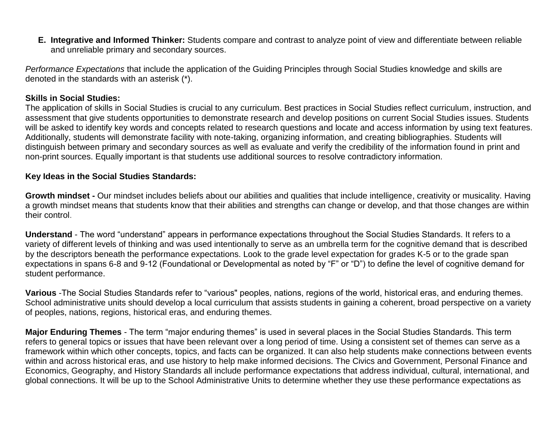**E. Integrative and Informed Thinker:** Students compare and contrast to analyze point of view and differentiate between reliable and unreliable primary and secondary sources.

*Performance Expectations* that include the application of the Guiding Principles through Social Studies knowledge and skills are denoted in the standards with an asterisk (\*).

## **Skills in Social Studies:**

The application of skills in Social Studies is crucial to any curriculum. Best practices in Social Studies reflect curriculum, instruction, and assessment that give students opportunities to demonstrate research and develop positions on current Social Studies issues. Students will be asked to identify key words and concepts related to research questions and locate and access information by using text features. Additionally, students will demonstrate facility with note-taking, organizing information, and creating bibliographies. Students will distinguish between primary and secondary sources as well as evaluate and verify the credibility of the information found in print and non-print sources. Equally important is that students use additional sources to resolve contradictory information.

#### **Key Ideas in the Social Studies Standards:**

**Growth mindset -** Our mindset includes beliefs about our abilities and qualities that include intelligence, creativity or musicality. Having a growth mindset means that students know that their abilities and strengths can change or develop, and that those changes are within their control.

**Understand** - The word "understand" appears in performance expectations throughout the Social Studies Standards. It refers to a variety of different levels of thinking and was used intentionally to serve as an umbrella term for the cognitive demand that is described by the descriptors beneath the performance expectations. Look to the grade level expectation for grades K-5 or to the grade span expectations in spans 6-8 and 9-12 (Foundational or Developmental as noted by "F" or "D") to define the level of cognitive demand for student performance.

**Various** -The Social Studies Standards refer to "various" peoples, nations, regions of the world, historical eras, and enduring themes. School administrative units should develop a local curriculum that assists students in gaining a coherent, broad perspective on a variety of peoples, nations, regions, historical eras, and enduring themes.

**Major Enduring Themes** - The term "major enduring themes" is used in several places in the Social Studies Standards. This term refers to general topics or issues that have been relevant over a long period of time. Using a consistent set of themes can serve as a framework within which other concepts, topics, and facts can be organized. It can also help students make connections between events within and across historical eras, and use history to help make informed decisions. The Civics and Government, Personal Finance and Economics, Geography, and History Standards all include performance expectations that address individual, cultural, international, and global connections. It will be up to the School Administrative Units to determine whether they use these performance expectations as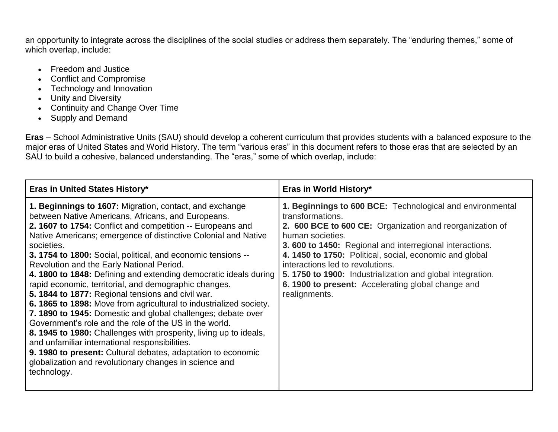an opportunity to integrate across the disciplines of the social studies or address them separately. The "enduring themes," some of which overlap, include:

- Freedom and Justice
- Conflict and Compromise
- Technology and Innovation
- Unity and Diversity
- Continuity and Change Over Time
- Supply and Demand

**Eras** – School Administrative Units (SAU) should develop a coherent curriculum that provides students with a balanced exposure to the major eras of United States and World History. The term "various eras" in this document refers to those eras that are selected by an SAU to build a cohesive, balanced understanding. The "eras," some of which overlap, include:

| <b>Eras in United States History*</b>                                                                                                                                                                                                                                                                                                                                                                                                                                                                                                                                                                                                                                                                                                                                                                                                                                                                                                                                                                                      | Eras in World History*                                                                                                                                                                                                                                                                                                                                                                                                                                              |
|----------------------------------------------------------------------------------------------------------------------------------------------------------------------------------------------------------------------------------------------------------------------------------------------------------------------------------------------------------------------------------------------------------------------------------------------------------------------------------------------------------------------------------------------------------------------------------------------------------------------------------------------------------------------------------------------------------------------------------------------------------------------------------------------------------------------------------------------------------------------------------------------------------------------------------------------------------------------------------------------------------------------------|---------------------------------------------------------------------------------------------------------------------------------------------------------------------------------------------------------------------------------------------------------------------------------------------------------------------------------------------------------------------------------------------------------------------------------------------------------------------|
| 1. Beginnings to 1607: Migration, contact, and exchange<br>between Native Americans, Africans, and Europeans.<br>2. 1607 to 1754: Conflict and competition -- Europeans and<br>Native Americans; emergence of distinctive Colonial and Native<br>societies.<br>3. 1754 to 1800: Social, political, and economic tensions --<br>Revolution and the Early National Period.<br>4. 1800 to 1848: Defining and extending democratic ideals during<br>rapid economic, territorial, and demographic changes.<br>5. 1844 to 1877: Regional tensions and civil war.<br>6. 1865 to 1898: Move from agricultural to industrialized society.<br>7. 1890 to 1945: Domestic and global challenges; debate over<br>Government's role and the role of the US in the world.<br>8. 1945 to 1980: Challenges with prosperity, living up to ideals,<br>and unfamiliar international responsibilities.<br>9. 1980 to present: Cultural debates, adaptation to economic<br>globalization and revolutionary changes in science and<br>technology. | 1. Beginnings to 600 BCE: Technological and environmental<br>transformations.<br>2. 600 BCE to 600 CE: Organization and reorganization of<br>human societies.<br><b>3.600 to 1450:</b> Regional and interregional interactions.<br>4. 1450 to 1750: Political, social, economic and global<br>interactions led to revolutions.<br>5. 1750 to 1900: Industrialization and global integration.<br>6. 1900 to present: Accelerating global change and<br>realignments. |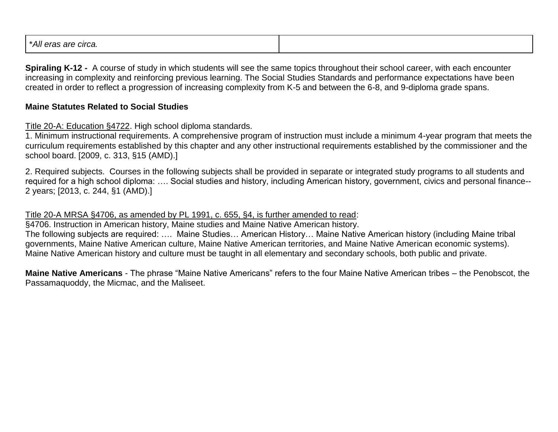| $^{\circ}$ A II<br>-10<br>circa<br>--<br>au<br>ait<br>GI AS. |
|--------------------------------------------------------------|
|--------------------------------------------------------------|

**Spiraling K-12 -** A course of study in which students will see the same topics throughout their school career, with each encounter increasing in complexity and reinforcing previous learning. The Social Studies Standards and performance expectations have been created in order to reflect a progression of increasing complexity from K-5 and between the 6-8, and 9-diploma grade spans.

# **Maine Statutes Related to Social Studies**

Title 20-A: Education §4722. High school diploma standards.

1. Minimum instructional requirements. A comprehensive program of instruction must include a minimum 4-year program that meets the curriculum requirements established by this chapter and any other instructional requirements established by the commissioner and the school board. [2009, c. 313, §15 (AMD).]

2. Required subjects. Courses in the following subjects shall be provided in separate or integrated study programs to all students and required for a high school diploma: …. Social studies and history, including American history, government, civics and personal finance-- 2 years; [2013, c. 244, §1 (AMD).]

Title 20-A MRSA §4706, as amended by PL 1991, c. 655, §4, is further amended to read:

§4706. Instruction in American history, Maine studies and Maine Native American history.

The following subjects are required: …. Maine Studies… American History… Maine Native American history (including Maine tribal governments, Maine Native American culture, Maine Native American territories, and Maine Native American economic systems). Maine Native American history and culture must be taught in all elementary and secondary schools, both public and private.

**Maine Native Americans** - The phrase "Maine Native Americans" refers to the four Maine Native American tribes – the Penobscot, the Passamaquoddy, the Micmac, and the Maliseet.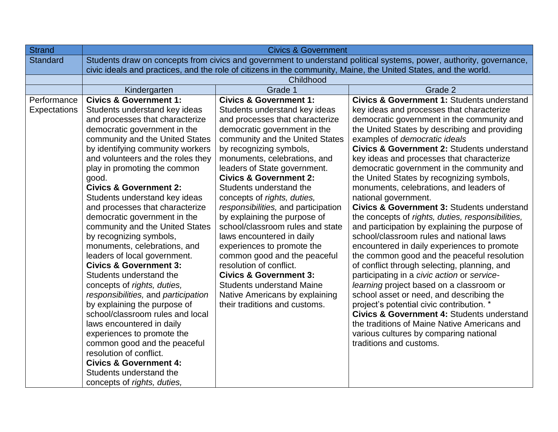| <b>Strand</b>   | <b>Civics &amp; Government</b>                                                                                      |                                                            |                                                                                            |
|-----------------|---------------------------------------------------------------------------------------------------------------------|------------------------------------------------------------|--------------------------------------------------------------------------------------------|
| <b>Standard</b> | Students draw on concepts from civics and government to understand political systems, power, authority, governance, |                                                            |                                                                                            |
|                 | civic ideals and practices, and the role of citizens in the community, Maine, the United States, and the world.     |                                                            |                                                                                            |
|                 | Childhood                                                                                                           |                                                            |                                                                                            |
|                 | Kindergarten                                                                                                        | Grade 1                                                    | Grade 2                                                                                    |
| Performance     | <b>Civics &amp; Government 1:</b>                                                                                   | <b>Civics &amp; Government 1:</b>                          | <b>Civics &amp; Government 1: Students understand</b>                                      |
| Expectations    | Students understand key ideas                                                                                       | Students understand key ideas                              | key ideas and processes that characterize                                                  |
|                 | and processes that characterize                                                                                     | and processes that characterize                            | democratic government in the community and                                                 |
|                 | democratic government in the                                                                                        | democratic government in the                               | the United States by describing and providing                                              |
|                 | community and the United States                                                                                     | community and the United States                            | examples of democratic ideals                                                              |
|                 | by identifying community workers                                                                                    | by recognizing symbols,                                    | <b>Civics &amp; Government 2: Students understand</b>                                      |
|                 | and volunteers and the roles they                                                                                   | monuments, celebrations, and                               | key ideas and processes that characterize                                                  |
|                 | play in promoting the common                                                                                        | leaders of State government.                               | democratic government in the community and                                                 |
|                 | good.                                                                                                               | <b>Civics &amp; Government 2:</b>                          | the United States by recognizing symbols,                                                  |
|                 | <b>Civics &amp; Government 2:</b>                                                                                   | Students understand the                                    | monuments, celebrations, and leaders of                                                    |
|                 | Students understand key ideas                                                                                       | concepts of rights, duties,                                | national government.                                                                       |
|                 | and processes that characterize                                                                                     | responsibilities, and participation                        | <b>Civics &amp; Government 3: Students understand</b>                                      |
|                 | democratic government in the                                                                                        | by explaining the purpose of                               | the concepts of rights, duties, responsibilities,                                          |
|                 | community and the United States                                                                                     | school/classroom rules and state                           | and participation by explaining the purpose of                                             |
|                 | by recognizing symbols,                                                                                             | laws encountered in daily                                  | school/classroom rules and national laws                                                   |
|                 | monuments, celebrations, and<br>leaders of local government.                                                        | experiences to promote the<br>common good and the peaceful | encountered in daily experiences to promote<br>the common good and the peaceful resolution |
|                 | <b>Civics &amp; Government 3:</b>                                                                                   | resolution of conflict.                                    | of conflict through selecting, planning, and                                               |
|                 | Students understand the                                                                                             | <b>Civics &amp; Government 3:</b>                          | participating in a civic action or service-                                                |
|                 | concepts of rights, duties,                                                                                         | <b>Students understand Maine</b>                           | learning project based on a classroom or                                                   |
|                 | responsibilities, and participation                                                                                 | Native Americans by explaining                             | school asset or need, and describing the                                                   |
|                 | by explaining the purpose of                                                                                        | their traditions and customs.                              | project's potential civic contribution. *                                                  |
|                 | school/classroom rules and local                                                                                    |                                                            | <b>Civics &amp; Government 4: Students understand</b>                                      |
|                 | laws encountered in daily                                                                                           |                                                            | the traditions of Maine Native Americans and                                               |
|                 | experiences to promote the                                                                                          |                                                            | various cultures by comparing national                                                     |
|                 | common good and the peaceful                                                                                        |                                                            | traditions and customs.                                                                    |
|                 | resolution of conflict.                                                                                             |                                                            |                                                                                            |
|                 | <b>Civics &amp; Government 4:</b>                                                                                   |                                                            |                                                                                            |
|                 | Students understand the                                                                                             |                                                            |                                                                                            |
|                 | concepts of rights, duties,                                                                                         |                                                            |                                                                                            |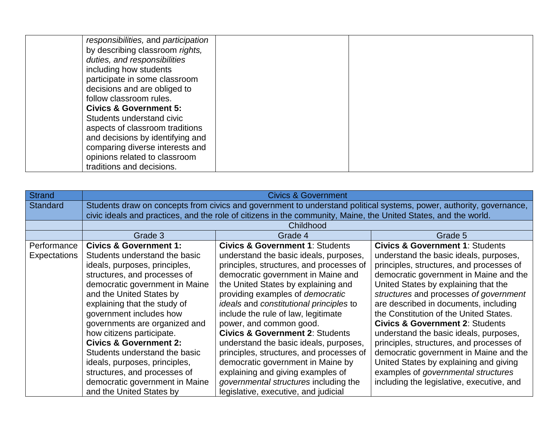| responsibilities, and participation |  |
|-------------------------------------|--|
| by describing classroom rights,     |  |
| duties, and responsibilities        |  |
| including how students              |  |
| participate in some classroom       |  |
| decisions and are obliged to        |  |
| follow classroom rules.             |  |
| <b>Civics &amp; Government 5:</b>   |  |
| Students understand civic           |  |
| aspects of classroom traditions     |  |
| and decisions by identifying and    |  |
| comparing diverse interests and     |  |
| opinions related to classroom       |  |
| traditions and decisions.           |  |

| <b>Strand</b>   | <b>Civics &amp; Government</b>                                                                                      |                                                                                                                 |                                            |  |
|-----------------|---------------------------------------------------------------------------------------------------------------------|-----------------------------------------------------------------------------------------------------------------|--------------------------------------------|--|
| <b>Standard</b> | Students draw on concepts from civics and government to understand political systems, power, authority, governance, |                                                                                                                 |                                            |  |
|                 |                                                                                                                     | civic ideals and practices, and the role of citizens in the community, Maine, the United States, and the world. |                                            |  |
|                 |                                                                                                                     | Childhood                                                                                                       |                                            |  |
|                 | Grade 3                                                                                                             | Grade 4                                                                                                         | Grade 5                                    |  |
| Performance     | <b>Civics &amp; Government 1:</b>                                                                                   | <b>Civics &amp; Government 1: Students</b>                                                                      | <b>Civics &amp; Government 1: Students</b> |  |
| Expectations    | Students understand the basic                                                                                       | understand the basic ideals, purposes,                                                                          | understand the basic ideals, purposes,     |  |
|                 | ideals, purposes, principles,                                                                                       | principles, structures, and processes of                                                                        | principles, structures, and processes of   |  |
|                 | structures, and processes of                                                                                        | democratic government in Maine and                                                                              | democratic government in Maine and the     |  |
|                 | democratic government in Maine                                                                                      | the United States by explaining and                                                                             | United States by explaining that the       |  |
|                 | and the United States by                                                                                            | providing examples of democratic                                                                                | structures and processes of government     |  |
|                 | explaining that the study of                                                                                        | ideals and constitutional principles to                                                                         | are described in documents, including      |  |
|                 | government includes how                                                                                             | include the rule of law, legitimate                                                                             | the Constitution of the United States.     |  |
|                 | governments are organized and                                                                                       | power, and common good.                                                                                         | <b>Civics &amp; Government 2: Students</b> |  |
|                 | how citizens participate.                                                                                           | <b>Civics &amp; Government 2: Students</b>                                                                      | understand the basic ideals, purposes,     |  |
|                 | <b>Civics &amp; Government 2:</b>                                                                                   | understand the basic ideals, purposes,                                                                          | principles, structures, and processes of   |  |
|                 | Students understand the basic                                                                                       | principles, structures, and processes of                                                                        | democratic government in Maine and the     |  |
|                 | ideals, purposes, principles,                                                                                       | democratic government in Maine by                                                                               | United States by explaining and giving     |  |
|                 | structures, and processes of                                                                                        | explaining and giving examples of                                                                               | examples of governmental structures        |  |
|                 | democratic government in Maine                                                                                      | governmental structures including the                                                                           | including the legislative, executive, and  |  |
|                 | and the United States by                                                                                            | legislative, executive, and judicial                                                                            |                                            |  |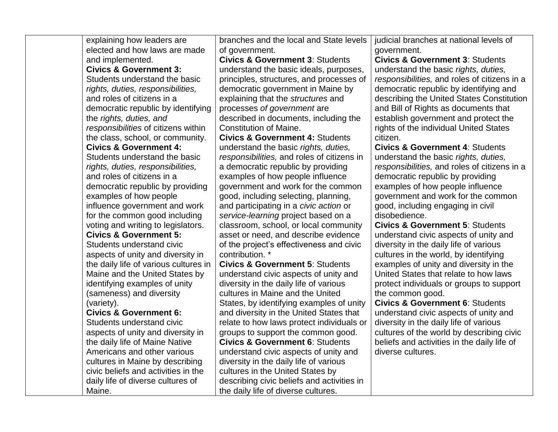| explaining how leaders are            | branches and the local and State levels    | judicial branches at national levels of      |
|---------------------------------------|--------------------------------------------|----------------------------------------------|
| elected and how laws are made         | of government.                             | government.                                  |
| and implemented.                      | <b>Civics &amp; Government 3: Students</b> | <b>Civics &amp; Government 3: Students</b>   |
| <b>Civics &amp; Government 3:</b>     | understand the basic ideals, purposes,     | understand the basic rights, duties,         |
| Students understand the basic         | principles, structures, and processes of   | responsibilities, and roles of citizens in a |
| rights, duties, responsibilities,     | democratic government in Maine by          | democratic republic by identifying and       |
| and roles of citizens in a            | explaining that the structures and         | describing the United States Constitution    |
| democratic republic by identifying    | processes of government are                | and Bill of Rights as documents that         |
| the rights, duties, and               | described in documents, including the      | establish government and protect the         |
| responsibilities of citizens within   | <b>Constitution of Maine.</b>              | rights of the individual United States       |
| the class, school, or community.      | <b>Civics &amp; Government 4: Students</b> | citizen.                                     |
| <b>Civics &amp; Government 4:</b>     | understand the basic rights, duties,       | <b>Civics &amp; Government 4: Students</b>   |
| Students understand the basic         | responsibilities, and roles of citizens in | understand the basic rights, duties,         |
| rights, duties, responsibilities,     | a democratic republic by providing         | responsibilities, and roles of citizens in a |
| and roles of citizens in a            | examples of how people influence           | democratic republic by providing             |
| democratic republic by providing      | government and work for the common         | examples of how people influence             |
| examples of how people                | good, including selecting, planning,       | government and work for the common           |
| influence government and work         | and participating in a civic action or     | good, including engaging in civil            |
| for the common good including         | service-learning project based on a        | disobedience.                                |
| voting and writing to legislators.    | classroom, school, or local community      | <b>Civics &amp; Government 5: Students</b>   |
| <b>Civics &amp; Government 5:</b>     | asset or need, and describe evidence       | understand civic aspects of unity and        |
| Students understand civic             | of the project's effectiveness and civic   | diversity in the daily life of various       |
| aspects of unity and diversity in     | contribution. *                            | cultures in the world, by identifying        |
| the daily life of various cultures in | <b>Civics &amp; Government 5: Students</b> | examples of unity and diversity in the       |
| Maine and the United States by        | understand civic aspects of unity and      | United States that relate to how laws        |
| identifying examples of unity         | diversity in the daily life of various     | protect individuals or groups to support     |
| (sameness) and diversity              | cultures in Maine and the United           | the common good.                             |
| (variety).                            | States, by identifying examples of unity   | <b>Civics &amp; Government 6: Students</b>   |
| <b>Civics &amp; Government 6:</b>     | and diversity in the United States that    | understand civic aspects of unity and        |
| Students understand civic             | relate to how laws protect individuals or  | diversity in the daily life of various       |
| aspects of unity and diversity in     | groups to support the common good.         | cultures of the world by describing civic    |
| the daily life of Maine Native        | <b>Civics &amp; Government 6: Students</b> | beliefs and activities in the daily life of  |
| Americans and other various           | understand civic aspects of unity and      | diverse cultures.                            |
| cultures in Maine by describing       | diversity in the daily life of various     |                                              |
| civic beliefs and activities in the   | cultures in the United States by           |                                              |
| daily life of diverse cultures of     | describing civic beliefs and activities in |                                              |
| Maine.                                | the daily life of diverse cultures.        |                                              |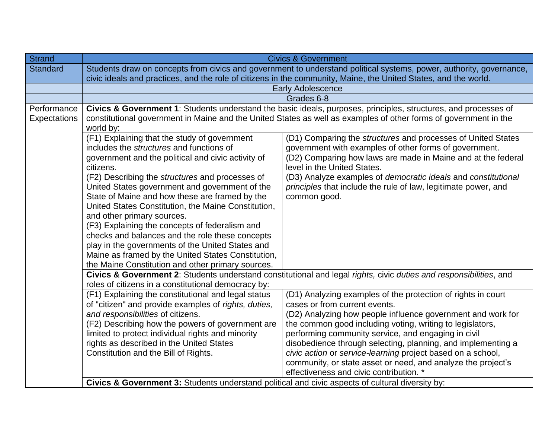| <b>Strand</b>               | <b>Civics &amp; Government</b>                                                                                                                                                                                                                                                                                                                                                                                                                                                                                                                                                                                                                                                                                                                                                                                                                                                                                                                                                                                                                                 |                                                                                                                     |  |
|-----------------------------|----------------------------------------------------------------------------------------------------------------------------------------------------------------------------------------------------------------------------------------------------------------------------------------------------------------------------------------------------------------------------------------------------------------------------------------------------------------------------------------------------------------------------------------------------------------------------------------------------------------------------------------------------------------------------------------------------------------------------------------------------------------------------------------------------------------------------------------------------------------------------------------------------------------------------------------------------------------------------------------------------------------------------------------------------------------|---------------------------------------------------------------------------------------------------------------------|--|
| <b>Standard</b>             | Students draw on concepts from civics and government to understand political systems, power, authority, governance,<br>civic ideals and practices, and the role of citizens in the community, Maine, the United States, and the world.                                                                                                                                                                                                                                                                                                                                                                                                                                                                                                                                                                                                                                                                                                                                                                                                                         |                                                                                                                     |  |
|                             | <b>Early Adolescence</b>                                                                                                                                                                                                                                                                                                                                                                                                                                                                                                                                                                                                                                                                                                                                                                                                                                                                                                                                                                                                                                       |                                                                                                                     |  |
|                             |                                                                                                                                                                                                                                                                                                                                                                                                                                                                                                                                                                                                                                                                                                                                                                                                                                                                                                                                                                                                                                                                | Grades 6-8                                                                                                          |  |
| Performance<br>Expectations | Civics & Government 1: Students understand the basic ideals, purposes, principles, structures, and processes of<br>constitutional government in Maine and the United States as well as examples of other forms of government in the<br>world by:                                                                                                                                                                                                                                                                                                                                                                                                                                                                                                                                                                                                                                                                                                                                                                                                               |                                                                                                                     |  |
|                             | (F1) Explaining that the study of government<br>(D1) Comparing the structures and processes of United States<br>includes the <i>structures</i> and functions of<br>government with examples of other forms of government.<br>(D2) Comparing how laws are made in Maine and at the federal<br>government and the political and civic activity of<br>level in the United States.<br>citizens.<br>(F2) Describing the structures and processes of<br>(D3) Analyze examples of democratic ideals and constitutional<br>United States government and government of the<br>principles that include the rule of law, legitimate power, and<br>State of Maine and how these are framed by the<br>common good.<br>United States Constitution, the Maine Constitution,<br>and other primary sources.<br>(F3) Explaining the concepts of federalism and<br>checks and balances and the role these concepts<br>play in the governments of the United States and<br>Maine as framed by the United States Constitution,<br>the Maine Constitution and other primary sources. |                                                                                                                     |  |
|                             |                                                                                                                                                                                                                                                                                                                                                                                                                                                                                                                                                                                                                                                                                                                                                                                                                                                                                                                                                                                                                                                                | Civics & Government 2: Students understand constitutional and legal rights, civic duties and responsibilities, and  |  |
|                             | roles of citizens in a constitutional democracy by:                                                                                                                                                                                                                                                                                                                                                                                                                                                                                                                                                                                                                                                                                                                                                                                                                                                                                                                                                                                                            |                                                                                                                     |  |
|                             | (F1) Explaining the constitutional and legal status                                                                                                                                                                                                                                                                                                                                                                                                                                                                                                                                                                                                                                                                                                                                                                                                                                                                                                                                                                                                            | (D1) Analyzing examples of the protection of rights in court                                                        |  |
|                             | of "citizen" and provide examples of rights, duties,                                                                                                                                                                                                                                                                                                                                                                                                                                                                                                                                                                                                                                                                                                                                                                                                                                                                                                                                                                                                           | cases or from current events.                                                                                       |  |
|                             | and responsibilities of citizens.                                                                                                                                                                                                                                                                                                                                                                                                                                                                                                                                                                                                                                                                                                                                                                                                                                                                                                                                                                                                                              | (D2) Analyzing how people influence government and work for                                                         |  |
|                             | (F2) Describing how the powers of government are                                                                                                                                                                                                                                                                                                                                                                                                                                                                                                                                                                                                                                                                                                                                                                                                                                                                                                                                                                                                               | the common good including voting, writing to legislators,                                                           |  |
|                             | limited to protect individual rights and minority<br>rights as described in the United States                                                                                                                                                                                                                                                                                                                                                                                                                                                                                                                                                                                                                                                                                                                                                                                                                                                                                                                                                                  | performing community service, and engaging in civil<br>disobedience through selecting, planning, and implementing a |  |
|                             | Constitution and the Bill of Rights.                                                                                                                                                                                                                                                                                                                                                                                                                                                                                                                                                                                                                                                                                                                                                                                                                                                                                                                                                                                                                           | civic action or service-learning project based on a school,                                                         |  |
|                             |                                                                                                                                                                                                                                                                                                                                                                                                                                                                                                                                                                                                                                                                                                                                                                                                                                                                                                                                                                                                                                                                | community, or state asset or need, and analyze the project's                                                        |  |
|                             |                                                                                                                                                                                                                                                                                                                                                                                                                                                                                                                                                                                                                                                                                                                                                                                                                                                                                                                                                                                                                                                                | effectiveness and civic contribution. *                                                                             |  |
|                             | Civics & Government 3: Students understand political and civic aspects of cultural diversity by:                                                                                                                                                                                                                                                                                                                                                                                                                                                                                                                                                                                                                                                                                                                                                                                                                                                                                                                                                               |                                                                                                                     |  |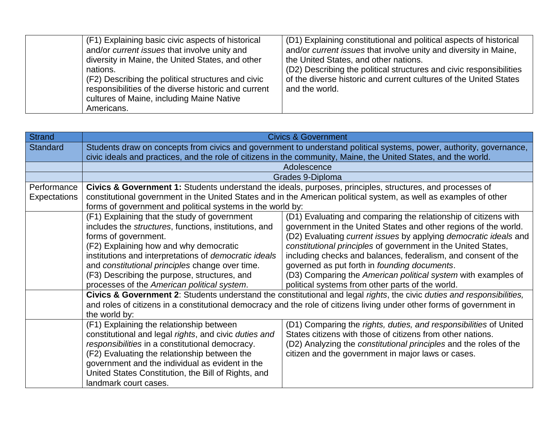| (F1) Explaining basic civic aspects of historical<br>and/or <i>current issues</i> that involve unity and<br>diversity in Maine, the United States, and other<br>nations.<br>(F2) Describing the political structures and civic<br>responsibilities of the diverse historic and current<br>cultures of Maine, including Maine Native<br>Americans. | (D1) Explaining constitutional and political aspects of historical<br>and/or current issues that involve unity and diversity in Maine,<br>the United States, and other nations.<br>(D2) Describing the political structures and civic responsibilities<br>of the diverse historic and current cultures of the United States<br>and the world. |
|---------------------------------------------------------------------------------------------------------------------------------------------------------------------------------------------------------------------------------------------------------------------------------------------------------------------------------------------------|-----------------------------------------------------------------------------------------------------------------------------------------------------------------------------------------------------------------------------------------------------------------------------------------------------------------------------------------------|
|---------------------------------------------------------------------------------------------------------------------------------------------------------------------------------------------------------------------------------------------------------------------------------------------------------------------------------------------------|-----------------------------------------------------------------------------------------------------------------------------------------------------------------------------------------------------------------------------------------------------------------------------------------------------------------------------------------------|

| <b>Strand</b>       |                                                                                                                        | <b>Civics &amp; Government</b>                                                                                         |  |
|---------------------|------------------------------------------------------------------------------------------------------------------------|------------------------------------------------------------------------------------------------------------------------|--|
| <b>Standard</b>     | Students draw on concepts from civics and government to understand political systems, power, authority, governance,    |                                                                                                                        |  |
|                     | civic ideals and practices, and the role of citizens in the community, Maine, the United States, and the world.        |                                                                                                                        |  |
|                     |                                                                                                                        | Adolescence                                                                                                            |  |
|                     |                                                                                                                        | Grades 9-Diploma                                                                                                       |  |
| Performance         |                                                                                                                        | Civics & Government 1: Students understand the ideals, purposes, principles, structures, and processes of              |  |
| <b>Expectations</b> |                                                                                                                        | constitutional government in the United States and in the American political system, as well as examples of other      |  |
|                     | forms of government and political systems in the world by:                                                             |                                                                                                                        |  |
|                     | (F1) Explaining that the study of government                                                                           | (D1) Evaluating and comparing the relationship of citizens with                                                        |  |
|                     | includes the structures, functions, institutions, and                                                                  | government in the United States and other regions of the world.                                                        |  |
|                     | forms of government.<br>(D2) Evaluating current issues by applying democratic ideals and                               |                                                                                                                        |  |
|                     | (F2) Explaining how and why democratic                                                                                 | constitutional principles of government in the United States,                                                          |  |
|                     | institutions and interpretations of democratic ideals                                                                  | including checks and balances, federalism, and consent of the                                                          |  |
|                     | and constitutional principles change over time.                                                                        | governed as put forth in founding documents.                                                                           |  |
|                     | (F3) Describing the purpose, structures, and                                                                           | (D3) Comparing the American political system with examples of                                                          |  |
|                     | processes of the American political system.<br>political systems from other parts of the world.                        |                                                                                                                        |  |
|                     | Civics & Government 2: Students understand the constitutional and legal rights, the civic duties and responsibilities, |                                                                                                                        |  |
|                     |                                                                                                                        | and roles of citizens in a constitutional democracy and the role of citizens living under other forms of government in |  |
|                     | the world by:                                                                                                          |                                                                                                                        |  |
|                     | (F1) Explaining the relationship between                                                                               | (D1) Comparing the rights, duties, and responsibilities of United                                                      |  |
|                     | constitutional and legal rights, and civic duties and                                                                  | States citizens with those of citizens from other nations.                                                             |  |
|                     | responsibilities in a constitutional democracy.                                                                        | (D2) Analyzing the constitutional principles and the roles of the                                                      |  |
|                     | (F2) Evaluating the relationship between the                                                                           | citizen and the government in major laws or cases.                                                                     |  |
|                     | government and the individual as evident in the                                                                        |                                                                                                                        |  |
|                     | United States Constitution, the Bill of Rights, and                                                                    |                                                                                                                        |  |
|                     | landmark court cases.                                                                                                  |                                                                                                                        |  |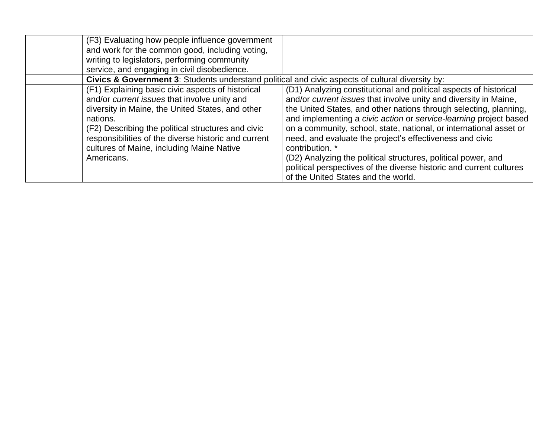| (F3) Evaluating how people influence government<br>and work for the common good, including voting,<br>writing to legislators, performing community<br>service, and engaging in civil disobedience.                                                                                                                                         |                                                                                                                                                                                                                                                                                                                                                                                                                                                                                                                                                                                                                     |
|--------------------------------------------------------------------------------------------------------------------------------------------------------------------------------------------------------------------------------------------------------------------------------------------------------------------------------------------|---------------------------------------------------------------------------------------------------------------------------------------------------------------------------------------------------------------------------------------------------------------------------------------------------------------------------------------------------------------------------------------------------------------------------------------------------------------------------------------------------------------------------------------------------------------------------------------------------------------------|
| Civics & Government 3: Students understand political and civic aspects of cultural diversity by:                                                                                                                                                                                                                                           |                                                                                                                                                                                                                                                                                                                                                                                                                                                                                                                                                                                                                     |
| (F1) Explaining basic civic aspects of historical<br>and/or current issues that involve unity and<br>diversity in Maine, the United States, and other<br>nations.<br>(F2) Describing the political structures and civic<br>responsibilities of the diverse historic and current<br>cultures of Maine, including Maine Native<br>Americans. | (D1) Analyzing constitutional and political aspects of historical<br>and/or current issues that involve unity and diversity in Maine,<br>the United States, and other nations through selecting, planning,<br>and implementing a civic action or service-learning project based<br>on a community, school, state, national, or international asset or<br>need, and evaluate the project's effectiveness and civic<br>contribution. *<br>(D2) Analyzing the political structures, political power, and<br>political perspectives of the diverse historic and current cultures<br>of the United States and the world. |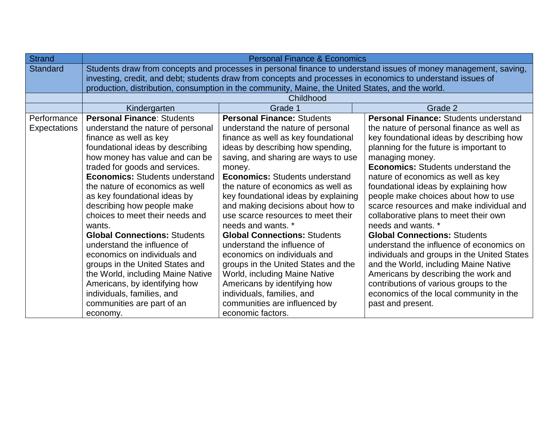| <b>Strand</b>   | <b>Personal Finance &amp; Economics</b>                                                                         |                                                                                                             |                                              |
|-----------------|-----------------------------------------------------------------------------------------------------------------|-------------------------------------------------------------------------------------------------------------|----------------------------------------------|
| <b>Standard</b> | Students draw from concepts and processes in personal finance to understand issues of money management, saving, |                                                                                                             |                                              |
|                 |                                                                                                                 | investing, credit, and debt; students draw from concepts and processes in economics to understand issues of |                                              |
|                 |                                                                                                                 | production, distribution, consumption in the community, Maine, the United States, and the world.            |                                              |
|                 |                                                                                                                 | Childhood                                                                                                   |                                              |
|                 | Kindergarten                                                                                                    | Grade 1                                                                                                     | Grade 2                                      |
| Performance     | <b>Personal Finance: Students</b>                                                                               | <b>Personal Finance: Students</b>                                                                           | <b>Personal Finance: Students understand</b> |
| Expectations    | understand the nature of personal                                                                               | understand the nature of personal                                                                           | the nature of personal finance as well as    |
|                 | finance as well as key                                                                                          | finance as well as key foundational                                                                         | key foundational ideas by describing how     |
|                 | foundational ideas by describing                                                                                | ideas by describing how spending,                                                                           | planning for the future is important to      |
|                 | how money has value and can be                                                                                  | saving, and sharing are ways to use                                                                         | managing money.                              |
|                 | traded for goods and services.                                                                                  | money.                                                                                                      | <b>Economics:</b> Students understand the    |
|                 | <b>Economics: Students understand</b>                                                                           | <b>Economics: Students understand</b>                                                                       | nature of economics as well as key           |
|                 | the nature of economics as well                                                                                 | the nature of economics as well as                                                                          | foundational ideas by explaining how         |
|                 | as key foundational ideas by                                                                                    | key foundational ideas by explaining                                                                        | people make choices about how to use         |
|                 | describing how people make                                                                                      | and making decisions about how to                                                                           | scarce resources and make individual and     |
|                 | choices to meet their needs and                                                                                 | use scarce resources to meet their                                                                          | collaborative plans to meet their own        |
|                 | wants.                                                                                                          | needs and wants. *                                                                                          | needs and wants. *                           |
|                 | <b>Global Connections: Students</b>                                                                             | <b>Global Connections: Students</b>                                                                         | <b>Global Connections: Students</b>          |
|                 | understand the influence of                                                                                     | understand the influence of                                                                                 | understand the influence of economics on     |
|                 | economics on individuals and                                                                                    | economics on individuals and                                                                                | individuals and groups in the United States  |
|                 | groups in the United States and                                                                                 | groups in the United States and the                                                                         | and the World, including Maine Native        |
|                 | the World, including Maine Native                                                                               | World, including Maine Native                                                                               | Americans by describing the work and         |
|                 | Americans, by identifying how                                                                                   | Americans by identifying how                                                                                | contributions of various groups to the       |
|                 | individuals, families, and                                                                                      | individuals, families, and                                                                                  | economics of the local community in the      |
|                 | communities are part of an                                                                                      | communities are influenced by                                                                               | past and present.                            |
|                 | economy.                                                                                                        | economic factors.                                                                                           |                                              |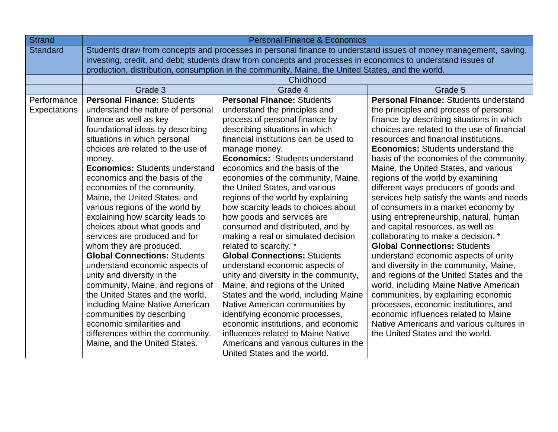| <b>Strand</b>   | <b>Personal Finance &amp; Economics</b>                                                                         |                                                                                                  |                                              |
|-----------------|-----------------------------------------------------------------------------------------------------------------|--------------------------------------------------------------------------------------------------|----------------------------------------------|
| <b>Standard</b> | Students draw from concepts and processes in personal finance to understand issues of money management, saving, |                                                                                                  |                                              |
|                 | investing, credit, and debt; students draw from concepts and processes in economics to understand issues of     |                                                                                                  |                                              |
|                 |                                                                                                                 | production, distribution, consumption in the community, Maine, the United States, and the world. |                                              |
|                 |                                                                                                                 | Childhood                                                                                        |                                              |
|                 | Grade 3                                                                                                         | Grade 4                                                                                          | Grade 5                                      |
| Performance     | <b>Personal Finance: Students</b>                                                                               | <b>Personal Finance: Students</b>                                                                | <b>Personal Finance: Students understand</b> |
| Expectations    | understand the nature of personal                                                                               | understand the principles and                                                                    | the principles and process of personal       |
|                 | finance as well as key                                                                                          | process of personal finance by                                                                   | finance by describing situations in which    |
|                 | foundational ideas by describing                                                                                | describing situations in which                                                                   | choices are related to the use of financial  |
|                 | situations in which personal                                                                                    | financial institutions can be used to                                                            | resources and financial institutions.        |
|                 | choices are related to the use of                                                                               | manage money.                                                                                    | <b>Economics:</b> Students understand the    |
|                 | money.                                                                                                          | Economics: Students understand                                                                   | basis of the economies of the community,     |
|                 | <b>Economics: Students understand</b>                                                                           | economics and the basis of the                                                                   | Maine, the United States, and various        |
|                 | economics and the basis of the                                                                                  | economies of the community, Maine,                                                               | regions of the world by examining            |
|                 | economies of the community,                                                                                     | the United States, and various                                                                   | different ways producers of goods and        |
|                 | Maine, the United States, and                                                                                   | regions of the world by explaining                                                               | services help satisfy the wants and needs    |
|                 | various regions of the world by                                                                                 | how scarcity leads to choices about                                                              | of consumers in a market economy by          |
|                 | explaining how scarcity leads to                                                                                | how goods and services are                                                                       | using entrepreneurship, natural, human       |
|                 | choices about what goods and                                                                                    | consumed and distributed, and by                                                                 | and capital resources, as well as            |
|                 | services are produced and for                                                                                   | making a real or simulated decision                                                              | collaborating to make a decision. *          |
|                 | whom they are produced.                                                                                         | related to scarcity. *                                                                           | <b>Global Connections: Students</b>          |
|                 | <b>Global Connections: Students</b>                                                                             | <b>Global Connections: Students</b>                                                              | understand economic aspects of unity         |
|                 | understand economic aspects of                                                                                  | understand economic aspects of                                                                   | and diversity in the community, Maine,       |
|                 | unity and diversity in the                                                                                      | unity and diversity in the community,                                                            | and regions of the United States and the     |
|                 | community, Maine, and regions of                                                                                | Maine, and regions of the United                                                                 | world, including Maine Native American       |
|                 | the United States and the world,                                                                                | States and the world, including Maine                                                            | communities, by explaining economic          |
|                 | including Maine Native American                                                                                 | Native American communities by                                                                   | processes, economic institutions, and        |
|                 | communities by describing                                                                                       | identifying economic processes,                                                                  | economic influences related to Maine         |
|                 | economic similarities and                                                                                       | economic institutions, and economic                                                              | Native Americans and various cultures in     |
|                 | differences within the community,                                                                               | influences related to Maine Native                                                               | the United States and the world.             |
|                 | Maine, and the United States.                                                                                   | Americans and various cultures in the                                                            |                                              |
|                 |                                                                                                                 | United States and the world.                                                                     |                                              |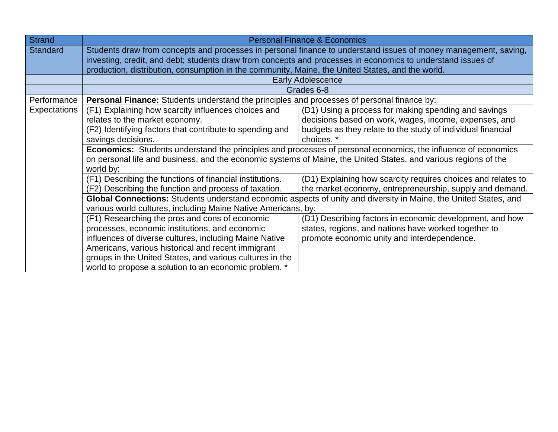| <b>Strand</b>   | <b>Personal Finance &amp; Economics</b>                                                                                                                                                                                                                                                                                                                                                                                                                                                                                                                                                                                       |                                                                                                                                                                 |  |
|-----------------|-------------------------------------------------------------------------------------------------------------------------------------------------------------------------------------------------------------------------------------------------------------------------------------------------------------------------------------------------------------------------------------------------------------------------------------------------------------------------------------------------------------------------------------------------------------------------------------------------------------------------------|-----------------------------------------------------------------------------------------------------------------------------------------------------------------|--|
| <b>Standard</b> | Students draw from concepts and processes in personal finance to understand issues of money management, saving,<br>investing, credit, and debt; students draw from concepts and processes in economics to understand issues of<br>production, distribution, consumption in the community, Maine, the United States, and the world.                                                                                                                                                                                                                                                                                            |                                                                                                                                                                 |  |
|                 |                                                                                                                                                                                                                                                                                                                                                                                                                                                                                                                                                                                                                               | <b>Early Adolescence</b>                                                                                                                                        |  |
|                 |                                                                                                                                                                                                                                                                                                                                                                                                                                                                                                                                                                                                                               | Grades 6-8                                                                                                                                                      |  |
| Performance     | Personal Finance: Students understand the principles and processes of personal finance by:                                                                                                                                                                                                                                                                                                                                                                                                                                                                                                                                    |                                                                                                                                                                 |  |
| Expectations    | (D1) Using a process for making spending and savings<br>(F1) Explaining how scarcity influences choices and<br>relates to the market economy.<br>decisions based on work, wages, income, expenses, and<br>budgets as they relate to the study of individual financial<br>(F2) Identifying factors that contribute to spending and<br>savings decisions.<br>choices. *<br><b>Economics:</b> Students understand the principles and processes of personal economics, the influence of economics<br>on personal life and business, and the economic systems of Maine, the United States, and various regions of the<br>world by: |                                                                                                                                                                 |  |
|                 | (F1) Describing the functions of financial institutions.<br>(D1) Explaining how scarcity requires choices and relates to<br>(F2) Describing the function and process of taxation.<br>the market economy, entrepreneurship, supply and demand.                                                                                                                                                                                                                                                                                                                                                                                 |                                                                                                                                                                 |  |
|                 | various world cultures, including Maine Native Americans, by:                                                                                                                                                                                                                                                                                                                                                                                                                                                                                                                                                                 | Global Connections: Students understand economic aspects of unity and diversity in Maine, the United States, and                                                |  |
|                 | (F1) Researching the pros and cons of economic<br>processes, economic institutions, and economic<br>influences of diverse cultures, including Maine Native<br>Americans, various historical and recent immigrant<br>groups in the United States, and various cultures in the<br>world to propose a solution to an economic problem. *                                                                                                                                                                                                                                                                                         | (D1) Describing factors in economic development, and how<br>states, regions, and nations have worked together to<br>promote economic unity and interdependence. |  |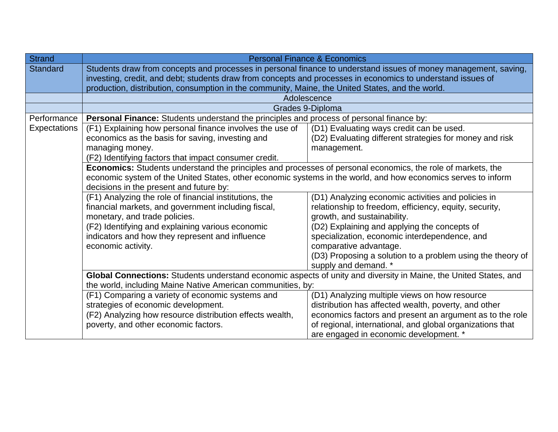| <b>Strand</b>                                                                                                                                                                               | <b>Personal Finance &amp; Economics</b>                                                                                                                                                                                                                                                                                                                                                                                                                                                                                                                                                                                                                                                                                                                                                                                        |                                                                                                                                                                                                                                                                          |  |
|---------------------------------------------------------------------------------------------------------------------------------------------------------------------------------------------|--------------------------------------------------------------------------------------------------------------------------------------------------------------------------------------------------------------------------------------------------------------------------------------------------------------------------------------------------------------------------------------------------------------------------------------------------------------------------------------------------------------------------------------------------------------------------------------------------------------------------------------------------------------------------------------------------------------------------------------------------------------------------------------------------------------------------------|--------------------------------------------------------------------------------------------------------------------------------------------------------------------------------------------------------------------------------------------------------------------------|--|
| <b>Standard</b>                                                                                                                                                                             | Students draw from concepts and processes in personal finance to understand issues of money management, saving,<br>investing, credit, and debt; students draw from concepts and processes in economics to understand issues of<br>production, distribution, consumption in the community, Maine, the United States, and the world.                                                                                                                                                                                                                                                                                                                                                                                                                                                                                             |                                                                                                                                                                                                                                                                          |  |
|                                                                                                                                                                                             |                                                                                                                                                                                                                                                                                                                                                                                                                                                                                                                                                                                                                                                                                                                                                                                                                                | Adolescence                                                                                                                                                                                                                                                              |  |
|                                                                                                                                                                                             |                                                                                                                                                                                                                                                                                                                                                                                                                                                                                                                                                                                                                                                                                                                                                                                                                                | Grades 9-Diploma                                                                                                                                                                                                                                                         |  |
| Performance                                                                                                                                                                                 | Personal Finance: Students understand the principles and process of personal finance by:                                                                                                                                                                                                                                                                                                                                                                                                                                                                                                                                                                                                                                                                                                                                       |                                                                                                                                                                                                                                                                          |  |
| <b>Expectations</b>                                                                                                                                                                         | (F1) Explaining how personal finance involves the use of<br>economics as the basis for saving, investing and<br>managing money.<br>(F2) Identifying factors that impact consumer credit.                                                                                                                                                                                                                                                                                                                                                                                                                                                                                                                                                                                                                                       | (D1) Evaluating ways credit can be used.<br>(D2) Evaluating different strategies for money and risk<br>management.                                                                                                                                                       |  |
|                                                                                                                                                                                             | Economics: Students understand the principles and processes of personal economics, the role of markets, the<br>economic system of the United States, other economic systems in the world, and how economics serves to inform<br>decisions in the present and future by:                                                                                                                                                                                                                                                                                                                                                                                                                                                                                                                                                        |                                                                                                                                                                                                                                                                          |  |
|                                                                                                                                                                                             | (F1) Analyzing the role of financial institutions, the<br>(D1) Analyzing economic activities and policies in<br>financial markets, and government including fiscal,<br>relationship to freedom, efficiency, equity, security,<br>monetary, and trade policies.<br>growth, and sustainability.<br>(F2) Identifying and explaining various economic<br>(D2) Explaining and applying the concepts of<br>indicators and how they represent and influence<br>specialization, economic interdependence, and<br>comparative advantage.<br>economic activity.<br>(D3) Proposing a solution to a problem using the theory of<br>supply and demand. *<br>Global Connections: Students understand economic aspects of unity and diversity in Maine, the United States, and<br>the world, including Maine Native American communities, by: |                                                                                                                                                                                                                                                                          |  |
|                                                                                                                                                                                             |                                                                                                                                                                                                                                                                                                                                                                                                                                                                                                                                                                                                                                                                                                                                                                                                                                |                                                                                                                                                                                                                                                                          |  |
| (F1) Comparing a variety of economic systems and<br>strategies of economic development.<br>(F2) Analyzing how resource distribution effects wealth,<br>poverty, and other economic factors. |                                                                                                                                                                                                                                                                                                                                                                                                                                                                                                                                                                                                                                                                                                                                                                                                                                | (D1) Analyzing multiple views on how resource<br>distribution has affected wealth, poverty, and other<br>economics factors and present an argument as to the role<br>of regional, international, and global organizations that<br>are engaged in economic development. * |  |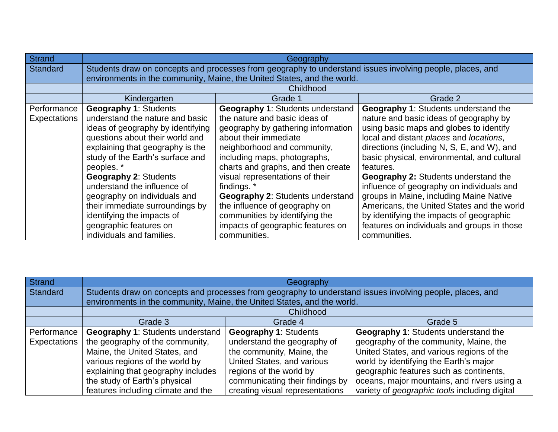| Strand          | Geography                                                                                                 |                                                                           |                                             |
|-----------------|-----------------------------------------------------------------------------------------------------------|---------------------------------------------------------------------------|---------------------------------------------|
| <b>Standard</b> | Students draw on concepts and processes from geography to understand issues involving people, places, and |                                                                           |                                             |
|                 |                                                                                                           | environments in the community, Maine, the United States, and the world.   |                                             |
|                 |                                                                                                           | Childhood                                                                 |                                             |
|                 | Kindergarten                                                                                              | Grade 1                                                                   | Grade 2                                     |
| Performance     | <b>Geography 1: Students</b>                                                                              | <b>Geography 1: Students understand</b>                                   | <b>Geography 1: Students understand the</b> |
| Expectations    | understand the nature and basic                                                                           | the nature and basic ideas of                                             | nature and basic ideas of geography by      |
|                 | ideas of geography by identifying                                                                         | geography by gathering information                                        | using basic maps and globes to identify     |
|                 | questions about their world and                                                                           | local and distant places and locations,<br>about their immediate          |                                             |
|                 | explaining that geography is the                                                                          | directions (including N, S, E, and W), and<br>neighborhood and community, |                                             |
|                 | study of the Earth's surface and                                                                          | including maps, photographs,                                              | basic physical, environmental, and cultural |
|                 | peoples. *                                                                                                | charts and graphs, and then create                                        | features.                                   |
|                 | <b>Geography 2: Students</b>                                                                              | visual representations of their                                           | <b>Geography 2: Students understand the</b> |
|                 | understand the influence of                                                                               | findings. *                                                               | influence of geography on individuals and   |
|                 | geography on individuals and                                                                              | <b>Geography 2: Students understand</b>                                   | groups in Maine, including Maine Native     |
|                 | their immediate surroundings by                                                                           | the influence of geography on                                             | Americans, the United States and the world  |
|                 | identifying the impacts of                                                                                | communities by identifying the                                            | by identifying the impacts of geographic    |
|                 | geographic features on                                                                                    | impacts of geographic features on                                         | features on individuals and groups in those |
|                 | individuals and families.                                                                                 | communities.                                                              | communities.                                |

| Strand       | Geography                                                                                                 |                                 |                                               |
|--------------|-----------------------------------------------------------------------------------------------------------|---------------------------------|-----------------------------------------------|
| Standard     | Students draw on concepts and processes from geography to understand issues involving people, places, and |                                 |                                               |
|              | environments in the community, Maine, the United States, and the world.                                   |                                 |                                               |
|              | Childhood                                                                                                 |                                 |                                               |
|              | Grade 3<br>Grade 4<br>Grade 5                                                                             |                                 |                                               |
| Performance  | <b>Geography 1: Students understand</b>                                                                   | <b>Geography 1: Students</b>    | <b>Geography 1: Students understand the</b>   |
| Expectations | the geography of the community,                                                                           | understand the geography of     | geography of the community, Maine, the        |
|              | Maine, the United States, and                                                                             | the community, Maine, the       | United States, and various regions of the     |
|              | various regions of the world by                                                                           | United States, and various      | world by identifying the Earth's major        |
|              | explaining that geography includes                                                                        | regions of the world by         | geographic features such as continents,       |
|              | the study of Earth's physical                                                                             | communicating their findings by | oceans, major mountains, and rivers using a   |
|              | features including climate and the                                                                        | creating visual representations | variety of geographic tools including digital |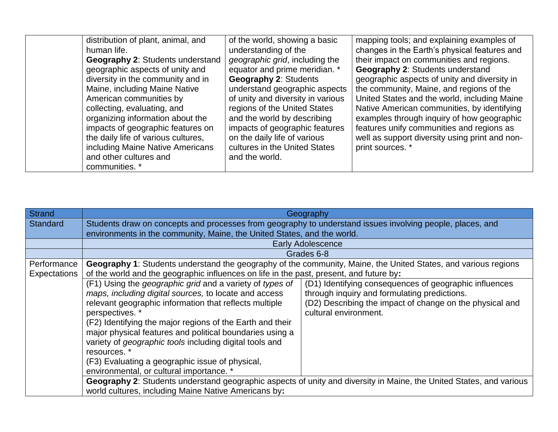| distribution of plant, animal, and      | of the world, showing a basic     | mapping tools; and explaining examples of      |
|-----------------------------------------|-----------------------------------|------------------------------------------------|
| human life.                             | understanding of the              | changes in the Earth's physical features and   |
| <b>Geography 2: Students understand</b> | geographic grid, including the    | their impact on communities and regions.       |
| geographic aspects of unity and         | equator and prime meridian. *     | <b>Geography 2: Students understand</b>        |
| diversity in the community and in       | <b>Geography 2: Students</b>      | geographic aspects of unity and diversity in   |
| Maine, including Maine Native           | understand geographic aspects     | the community, Maine, and regions of the       |
| American communities by                 | of unity and diversity in various | United States and the world, including Maine   |
| collecting, evaluating, and             | regions of the United States      | Native American communities, by identifying    |
| organizing information about the        | and the world by describing       | examples through inquiry of how geographic     |
| impacts of geographic features on       | impacts of geographic features    | features unify communities and regions as      |
| the daily life of various cultures,     | on the daily life of various      | well as support diversity using print and non- |
| including Maine Native Americans        | cultures in the United States     | print sources. *                               |
| and other cultures and                  | and the world.                    |                                                |
| communities. *                          |                                   |                                                |

| Strand          | Geography                                                                                                 |                                                                                                                     |  |
|-----------------|-----------------------------------------------------------------------------------------------------------|---------------------------------------------------------------------------------------------------------------------|--|
| <b>Standard</b> | Students draw on concepts and processes from geography to understand issues involving people, places, and |                                                                                                                     |  |
|                 | environments in the community, Maine, the United States, and the world.                                   |                                                                                                                     |  |
|                 |                                                                                                           | <b>Early Adolescence</b>                                                                                            |  |
|                 |                                                                                                           | Grades 6-8                                                                                                          |  |
| Performance     |                                                                                                           | Geography 1: Students understand the geography of the community, Maine, the United States, and various regions      |  |
| Expectations    | of the world and the geographic influences on life in the past, present, and future by:                   |                                                                                                                     |  |
|                 | (F1) Using the geographic grid and a variety of types of                                                  | (D1) Identifying consequences of geographic influences                                                              |  |
|                 | maps, including digital sources, to locate and access                                                     | through inquiry and formulating predictions.                                                                        |  |
|                 | relevant geographic information that reflects multiple                                                    | (D2) Describing the impact of change on the physical and                                                            |  |
|                 | perspectives. *                                                                                           | cultural environment.                                                                                               |  |
|                 | (F2) Identifying the major regions of the Earth and their                                                 |                                                                                                                     |  |
|                 | major physical features and political boundaries using a                                                  |                                                                                                                     |  |
|                 | variety of geographic tools including digital tools and                                                   |                                                                                                                     |  |
|                 | resources. *                                                                                              |                                                                                                                     |  |
|                 | (F3) Evaluating a geographic issue of physical,                                                           |                                                                                                                     |  |
|                 | environmental, or cultural importance.                                                                    |                                                                                                                     |  |
|                 |                                                                                                           | Geography 2: Students understand geographic aspects of unity and diversity in Maine, the United States, and various |  |
|                 | world cultures, including Maine Native Americans by:                                                      |                                                                                                                     |  |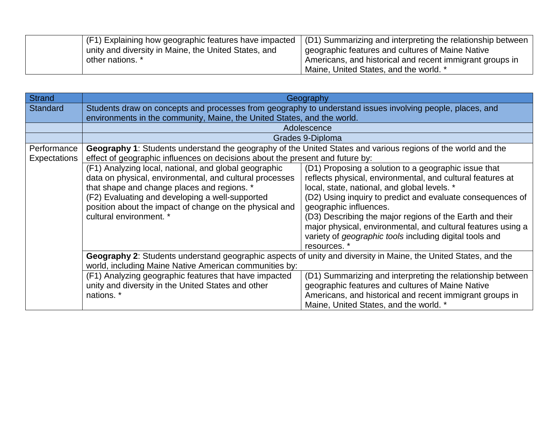| (F1) Explaining how geographic features have impacted  | (D1) Summarizing and interpreting the relationship between |
|--------------------------------------------------------|------------------------------------------------------------|
| I unity and diversity in Maine, the United States, and | geographic features and cultures of Maine Native           |
| other nations. *                                       | Americans, and historical and recent immigrant groups in   |
|                                                        | Maine, United States, and the world. *                     |

| <b>Strand</b>                      | Geography                                                                                                                                                                                                                                                                                                |                                                                                                                                                                                                                                                                                                                                                                                                                                                                          |  |
|------------------------------------|----------------------------------------------------------------------------------------------------------------------------------------------------------------------------------------------------------------------------------------------------------------------------------------------------------|--------------------------------------------------------------------------------------------------------------------------------------------------------------------------------------------------------------------------------------------------------------------------------------------------------------------------------------------------------------------------------------------------------------------------------------------------------------------------|--|
| <b>Standard</b>                    | Students draw on concepts and processes from geography to understand issues involving people, places, and                                                                                                                                                                                                |                                                                                                                                                                                                                                                                                                                                                                                                                                                                          |  |
|                                    | environments in the community, Maine, the United States, and the world.                                                                                                                                                                                                                                  |                                                                                                                                                                                                                                                                                                                                                                                                                                                                          |  |
|                                    |                                                                                                                                                                                                                                                                                                          | Adolescence                                                                                                                                                                                                                                                                                                                                                                                                                                                              |  |
|                                    |                                                                                                                                                                                                                                                                                                          | Grades 9-Diploma                                                                                                                                                                                                                                                                                                                                                                                                                                                         |  |
| Performance<br><b>Expectations</b> | Geography 1: Students understand the geography of the United States and various regions of the world and the<br>effect of geographic influences on decisions about the present and future by:                                                                                                            |                                                                                                                                                                                                                                                                                                                                                                                                                                                                          |  |
|                                    | (F1) Analyzing local, national, and global geographic<br>data on physical, environmental, and cultural processes<br>that shape and change places and regions. *<br>(F2) Evaluating and developing a well-supported<br>position about the impact of change on the physical and<br>cultural environment. * | (D1) Proposing a solution to a geographic issue that<br>reflects physical, environmental, and cultural features at<br>local, state, national, and global levels. *<br>(D2) Using inquiry to predict and evaluate consequences of<br>geographic influences.<br>(D3) Describing the major regions of the Earth and their<br>major physical, environmental, and cultural features using a<br>variety of <i>geographic tools</i> including digital tools and<br>resources. * |  |
|                                    | Geography 2: Students understand geographic aspects of unity and diversity in Maine, the United States, and the<br>world, including Maine Native American communities by:                                                                                                                                |                                                                                                                                                                                                                                                                                                                                                                                                                                                                          |  |
|                                    | (F1) Analyzing geographic features that have impacted<br>unity and diversity in the United States and other<br>nations. *                                                                                                                                                                                | (D1) Summarizing and interpreting the relationship between<br>geographic features and cultures of Maine Native<br>Americans, and historical and recent immigrant groups in<br>Maine, United States, and the world. *                                                                                                                                                                                                                                                     |  |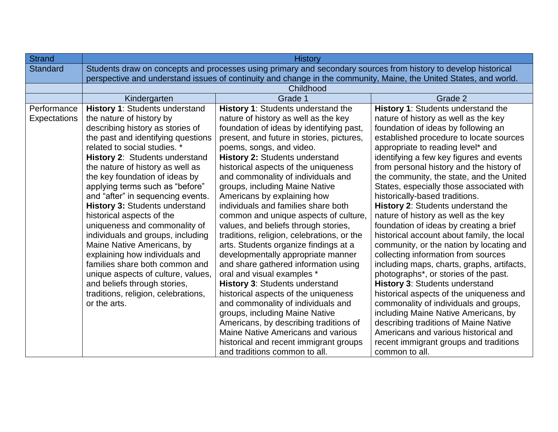| <b>Strand</b>   | <b>History</b>                                                                                                    |                                            |                                            |
|-----------------|-------------------------------------------------------------------------------------------------------------------|--------------------------------------------|--------------------------------------------|
| <b>Standard</b> | Students draw on concepts and processes using primary and secondary sources from history to develop historical    |                                            |                                            |
|                 | perspective and understand issues of continuity and change in the community, Maine, the United States, and world. |                                            |                                            |
|                 |                                                                                                                   | Childhood                                  |                                            |
|                 | Kindergarten                                                                                                      | Grade 1                                    | Grade 2                                    |
| Performance     | History 1: Students understand                                                                                    | <b>History 1: Students understand the</b>  | History 1: Students understand the         |
| Expectations    | the nature of history by                                                                                          | nature of history as well as the key       | nature of history as well as the key       |
|                 | describing history as stories of                                                                                  | foundation of ideas by identifying past,   | foundation of ideas by following an        |
|                 | the past and identifying questions                                                                                | present, and future in stories, pictures,  | established procedure to locate sources    |
|                 | related to social studies. *                                                                                      | poems, songs, and video.                   | appropriate to reading level* and          |
|                 | History 2: Students understand                                                                                    | History 2: Students understand             | identifying a few key figures and events   |
|                 | the nature of history as well as                                                                                  | historical aspects of the uniqueness       | from personal history and the history of   |
|                 | the key foundation of ideas by                                                                                    | and commonality of individuals and         | the community, the state, and the United   |
|                 | applying terms such as "before"                                                                                   | groups, including Maine Native             | States, especially those associated with   |
|                 | and "after" in sequencing events.                                                                                 | Americans by explaining how                | historically-based traditions.             |
|                 | <b>History 3: Students understand</b>                                                                             | individuals and families share both        | History 2: Students understand the         |
|                 | historical aspects of the                                                                                         | common and unique aspects of culture,      | nature of history as well as the key       |
|                 | uniqueness and commonality of                                                                                     | values, and beliefs through stories,       | foundation of ideas by creating a brief    |
|                 | individuals and groups, including                                                                                 | traditions, religion, celebrations, or the | historical account about family, the local |
|                 | Maine Native Americans, by<br>arts. Students organize findings at a                                               |                                            | community, or the nation by locating and   |
|                 | explaining how individuals and<br>developmentally appropriate manner                                              |                                            | collecting information from sources        |
|                 | families share both common and<br>and share gathered information using                                            |                                            | including maps, charts, graphs, artifacts, |
|                 | unique aspects of culture, values,                                                                                | oral and visual examples *                 | photographs*, or stories of the past.      |
|                 | and beliefs through stories,                                                                                      | History 3: Students understand             | History 3: Students understand             |
|                 | traditions, religion, celebrations,                                                                               | historical aspects of the uniqueness       | historical aspects of the uniqueness and   |
|                 | or the arts.                                                                                                      | and commonality of individuals and         | commonality of individuals and groups,     |
|                 |                                                                                                                   | groups, including Maine Native             | including Maine Native Americans, by       |
|                 |                                                                                                                   | Americans, by describing traditions of     | describing traditions of Maine Native      |
|                 |                                                                                                                   | Maine Native Americans and various         | Americans and various historical and       |
|                 |                                                                                                                   | historical and recent immigrant groups     | recent immigrant groups and traditions     |
|                 |                                                                                                                   | and traditions common to all.              | common to all.                             |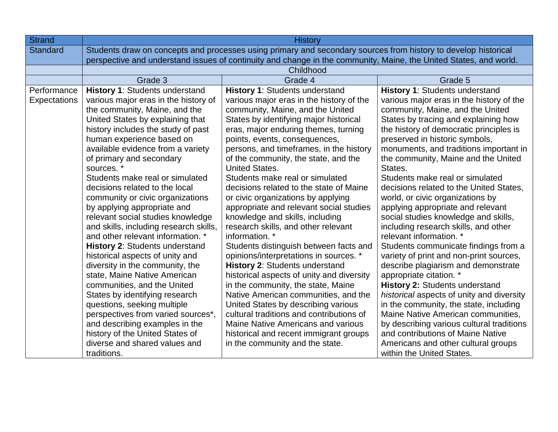| <b>Strand</b>               | <b>History</b>                                                                                                                                                                                                                                                                                                                                                                                                                                                                                                                                                                                                                                                                                                                                                                                                                                                                                                                                                            |                                                                                                                                                                                                                                                                                                                                                                                                                                                                                                                                                                                                                                                                                                                                                                                                                                                                                                                                                                                                                                                                                      |                                                                                                                                                                                                                                                                                                                                                                                                                                                                                                                                                                                                                                                                                                                                                                                                                                                                                                                                                                                                                                                                                           |
|-----------------------------|---------------------------------------------------------------------------------------------------------------------------------------------------------------------------------------------------------------------------------------------------------------------------------------------------------------------------------------------------------------------------------------------------------------------------------------------------------------------------------------------------------------------------------------------------------------------------------------------------------------------------------------------------------------------------------------------------------------------------------------------------------------------------------------------------------------------------------------------------------------------------------------------------------------------------------------------------------------------------|--------------------------------------------------------------------------------------------------------------------------------------------------------------------------------------------------------------------------------------------------------------------------------------------------------------------------------------------------------------------------------------------------------------------------------------------------------------------------------------------------------------------------------------------------------------------------------------------------------------------------------------------------------------------------------------------------------------------------------------------------------------------------------------------------------------------------------------------------------------------------------------------------------------------------------------------------------------------------------------------------------------------------------------------------------------------------------------|-------------------------------------------------------------------------------------------------------------------------------------------------------------------------------------------------------------------------------------------------------------------------------------------------------------------------------------------------------------------------------------------------------------------------------------------------------------------------------------------------------------------------------------------------------------------------------------------------------------------------------------------------------------------------------------------------------------------------------------------------------------------------------------------------------------------------------------------------------------------------------------------------------------------------------------------------------------------------------------------------------------------------------------------------------------------------------------------|
| <b>Standard</b>             | Students draw on concepts and processes using primary and secondary sources from history to develop historical                                                                                                                                                                                                                                                                                                                                                                                                                                                                                                                                                                                                                                                                                                                                                                                                                                                            |                                                                                                                                                                                                                                                                                                                                                                                                                                                                                                                                                                                                                                                                                                                                                                                                                                                                                                                                                                                                                                                                                      |                                                                                                                                                                                                                                                                                                                                                                                                                                                                                                                                                                                                                                                                                                                                                                                                                                                                                                                                                                                                                                                                                           |
|                             | perspective and understand issues of continuity and change in the community, Maine, the United States, and world.                                                                                                                                                                                                                                                                                                                                                                                                                                                                                                                                                                                                                                                                                                                                                                                                                                                         |                                                                                                                                                                                                                                                                                                                                                                                                                                                                                                                                                                                                                                                                                                                                                                                                                                                                                                                                                                                                                                                                                      |                                                                                                                                                                                                                                                                                                                                                                                                                                                                                                                                                                                                                                                                                                                                                                                                                                                                                                                                                                                                                                                                                           |
|                             |                                                                                                                                                                                                                                                                                                                                                                                                                                                                                                                                                                                                                                                                                                                                                                                                                                                                                                                                                                           | Childhood                                                                                                                                                                                                                                                                                                                                                                                                                                                                                                                                                                                                                                                                                                                                                                                                                                                                                                                                                                                                                                                                            |                                                                                                                                                                                                                                                                                                                                                                                                                                                                                                                                                                                                                                                                                                                                                                                                                                                                                                                                                                                                                                                                                           |
|                             | Grade 3                                                                                                                                                                                                                                                                                                                                                                                                                                                                                                                                                                                                                                                                                                                                                                                                                                                                                                                                                                   | Grade 4                                                                                                                                                                                                                                                                                                                                                                                                                                                                                                                                                                                                                                                                                                                                                                                                                                                                                                                                                                                                                                                                              | Grade 5                                                                                                                                                                                                                                                                                                                                                                                                                                                                                                                                                                                                                                                                                                                                                                                                                                                                                                                                                                                                                                                                                   |
| Performance<br>Expectations | <b>History 1: Students understand</b><br>various major eras in the history of<br>the community, Maine, and the<br>United States by explaining that<br>history includes the study of past<br>human experience based on<br>available evidence from a variety<br>of primary and secondary<br>sources.*<br>Students make real or simulated<br>decisions related to the local<br>community or civic organizations<br>by applying appropriate and<br>relevant social studies knowledge<br>and skills, including research skills,<br>and other relevant information. *<br><b>History 2: Students understand</b><br>historical aspects of unity and<br>diversity in the community, the<br>state, Maine Native American<br>communities, and the United<br>States by identifying research<br>questions, seeking multiple<br>perspectives from varied sources*,<br>and describing examples in the<br>history of the United States of<br>diverse and shared values and<br>traditions. | <b>History 1: Students understand</b><br>various major eras in the history of the<br>community, Maine, and the United<br>States by identifying major historical<br>eras, major enduring themes, turning<br>points, events, consequences,<br>persons, and timeframes, in the history<br>of the community, the state, and the<br><b>United States.</b><br>Students make real or simulated<br>decisions related to the state of Maine<br>or civic organizations by applying<br>appropriate and relevant social studies<br>knowledge and skills, including<br>research skills, and other relevant<br>information. *<br>Students distinguish between facts and<br>opinions/interpretations in sources. *<br><b>History 2: Students understand</b><br>historical aspects of unity and diversity<br>in the community, the state, Maine<br>Native American communities, and the<br>United States by describing various<br>cultural traditions and contributions of<br><b>Maine Native Americans and various</b><br>historical and recent immigrant groups<br>in the community and the state. | <b>History 1: Students understand</b><br>various major eras in the history of the<br>community, Maine, and the United<br>States by tracing and explaining how<br>the history of democratic principles is<br>preserved in historic symbols,<br>monuments, and traditions important in<br>the community, Maine and the United<br>States.<br>Students make real or simulated<br>decisions related to the United States,<br>world, or civic organizations by<br>applying appropriate and relevant<br>social studies knowledge and skills,<br>including research skills, and other<br>relevant information. *<br>Students communicate findings from a<br>variety of print and non-print sources,<br>describe plagiarism and demonstrate<br>appropriate citation. *<br><b>History 2: Students understand</b><br>historical aspects of unity and diversity<br>in the community, the state, including<br>Maine Native American communities,<br>by describing various cultural traditions<br>and contributions of Maine Native<br>Americans and other cultural groups<br>within the United States. |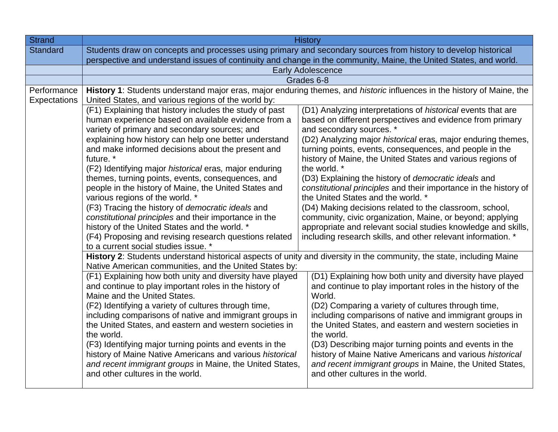| <b>Strand</b>   | <b>History</b>                                                                                                                                                          |                                                                                                                        |  |
|-----------------|-------------------------------------------------------------------------------------------------------------------------------------------------------------------------|------------------------------------------------------------------------------------------------------------------------|--|
| <b>Standard</b> | Students draw on concepts and processes using primary and secondary sources from history to develop historical                                                          |                                                                                                                        |  |
|                 | perspective and understand issues of continuity and change in the community, Maine, the United States, and world.                                                       |                                                                                                                        |  |
|                 |                                                                                                                                                                         | <b>Early Adolescence</b>                                                                                               |  |
|                 |                                                                                                                                                                         | Grades 6-8                                                                                                             |  |
| Performance     |                                                                                                                                                                         | History 1: Students understand major eras, major enduring themes, and historic influences in the history of Maine, the |  |
| Expectations    | United States, and various regions of the world by:                                                                                                                     |                                                                                                                        |  |
|                 | (F1) Explaining that history includes the study of past                                                                                                                 | (D1) Analyzing interpretations of <i>historical</i> events that are                                                    |  |
|                 | human experience based on available evidence from a                                                                                                                     | based on different perspectives and evidence from primary                                                              |  |
|                 | variety of primary and secondary sources; and                                                                                                                           | and secondary sources. *                                                                                               |  |
|                 | explaining how history can help one better understand                                                                                                                   | (D2) Analyzing major historical eras, major enduring themes,                                                           |  |
|                 | and make informed decisions about the present and                                                                                                                       | turning points, events, consequences, and people in the                                                                |  |
|                 | future. *                                                                                                                                                               | history of Maine, the United States and various regions of                                                             |  |
|                 | (F2) Identifying major historical eras, major enduring                                                                                                                  | the world. *                                                                                                           |  |
|                 | themes, turning points, events, consequences, and                                                                                                                       | (D3) Explaining the history of <i>democratic ideals</i> and                                                            |  |
|                 | people in the history of Maine, the United States and<br>various regions of the world. *                                                                                | constitutional principles and their importance in the history of<br>the United States and the world. *                 |  |
|                 |                                                                                                                                                                         | (D4) Making decisions related to the classroom, school,                                                                |  |
|                 | (F3) Tracing the history of democratic ideals and<br>constitutional principles and their importance in the<br>community, civic organization, Maine, or beyond; applying |                                                                                                                        |  |
|                 | appropriate and relevant social studies knowledge and skills,<br>history of the United States and the world. *                                                          |                                                                                                                        |  |
|                 | including research skills, and other relevant information. *<br>(F4) Proposing and revising research questions related                                                  |                                                                                                                        |  |
|                 | to a current social studies issue. *                                                                                                                                    |                                                                                                                        |  |
|                 | History 2: Students understand historical aspects of unity and diversity in the community, the state, including Maine                                                   |                                                                                                                        |  |
|                 | Native American communities, and the United States by:                                                                                                                  |                                                                                                                        |  |
|                 | (F1) Explaining how both unity and diversity have played                                                                                                                | (D1) Explaining how both unity and diversity have played                                                               |  |
|                 | and continue to play important roles in the history of                                                                                                                  | and continue to play important roles in the history of the                                                             |  |
|                 | Maine and the United States.                                                                                                                                            | World.                                                                                                                 |  |
|                 | (F2) Identifying a variety of cultures through time,                                                                                                                    | (D2) Comparing a variety of cultures through time,                                                                     |  |
|                 | including comparisons of native and immigrant groups in                                                                                                                 | including comparisons of native and immigrant groups in                                                                |  |
|                 | the United States, and eastern and western societies in                                                                                                                 | the United States, and eastern and western societies in                                                                |  |
|                 | the world.                                                                                                                                                              | the world.                                                                                                             |  |
|                 | (F3) Identifying major turning points and events in the                                                                                                                 | (D3) Describing major turning points and events in the                                                                 |  |
|                 | history of Maine Native Americans and various historical                                                                                                                | history of Maine Native Americans and various historical                                                               |  |
|                 | and recent immigrant groups in Maine, the United States,                                                                                                                | and recent immigrant groups in Maine, the United States,                                                               |  |
|                 | and other cultures in the world.                                                                                                                                        | and other cultures in the world.                                                                                       |  |
|                 |                                                                                                                                                                         |                                                                                                                        |  |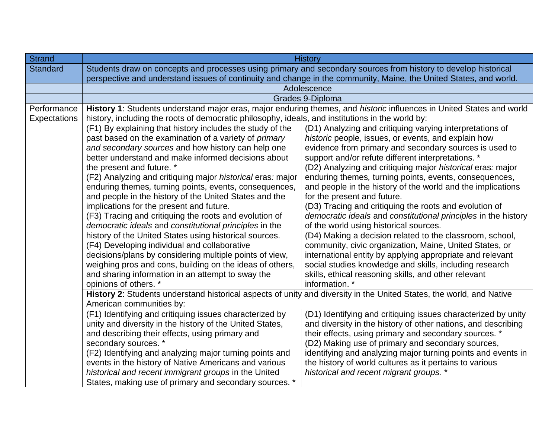| <b>History</b>                                                                                                    |                                                                                                                                                                                                                                                                                                                                                                                                                                                                                                                                                                                                                                                                                                                                                                                                                                                                                                                                                                                                                                                                                                                                                                                                                                                                                                                                                                  |  |
|-------------------------------------------------------------------------------------------------------------------|------------------------------------------------------------------------------------------------------------------------------------------------------------------------------------------------------------------------------------------------------------------------------------------------------------------------------------------------------------------------------------------------------------------------------------------------------------------------------------------------------------------------------------------------------------------------------------------------------------------------------------------------------------------------------------------------------------------------------------------------------------------------------------------------------------------------------------------------------------------------------------------------------------------------------------------------------------------------------------------------------------------------------------------------------------------------------------------------------------------------------------------------------------------------------------------------------------------------------------------------------------------------------------------------------------------------------------------------------------------|--|
| Students draw on concepts and processes using primary and secondary sources from history to develop historical    |                                                                                                                                                                                                                                                                                                                                                                                                                                                                                                                                                                                                                                                                                                                                                                                                                                                                                                                                                                                                                                                                                                                                                                                                                                                                                                                                                                  |  |
| perspective and understand issues of continuity and change in the community, Maine, the United States, and world. |                                                                                                                                                                                                                                                                                                                                                                                                                                                                                                                                                                                                                                                                                                                                                                                                                                                                                                                                                                                                                                                                                                                                                                                                                                                                                                                                                                  |  |
|                                                                                                                   | Adolescence                                                                                                                                                                                                                                                                                                                                                                                                                                                                                                                                                                                                                                                                                                                                                                                                                                                                                                                                                                                                                                                                                                                                                                                                                                                                                                                                                      |  |
|                                                                                                                   | Grades 9-Diploma                                                                                                                                                                                                                                                                                                                                                                                                                                                                                                                                                                                                                                                                                                                                                                                                                                                                                                                                                                                                                                                                                                                                                                                                                                                                                                                                                 |  |
|                                                                                                                   | History 1: Students understand major eras, major enduring themes, and historic influences in United States and world                                                                                                                                                                                                                                                                                                                                                                                                                                                                                                                                                                                                                                                                                                                                                                                                                                                                                                                                                                                                                                                                                                                                                                                                                                             |  |
| history, including the roots of democratic philosophy, ideals, and institutions in the world by:                  |                                                                                                                                                                                                                                                                                                                                                                                                                                                                                                                                                                                                                                                                                                                                                                                                                                                                                                                                                                                                                                                                                                                                                                                                                                                                                                                                                                  |  |
| (F1) By explaining that history includes the study of the                                                         | (D1) Analyzing and critiquing varying interpretations of                                                                                                                                                                                                                                                                                                                                                                                                                                                                                                                                                                                                                                                                                                                                                                                                                                                                                                                                                                                                                                                                                                                                                                                                                                                                                                         |  |
|                                                                                                                   | historic people, issues, or events, and explain how                                                                                                                                                                                                                                                                                                                                                                                                                                                                                                                                                                                                                                                                                                                                                                                                                                                                                                                                                                                                                                                                                                                                                                                                                                                                                                              |  |
|                                                                                                                   | evidence from primary and secondary sources is used to                                                                                                                                                                                                                                                                                                                                                                                                                                                                                                                                                                                                                                                                                                                                                                                                                                                                                                                                                                                                                                                                                                                                                                                                                                                                                                           |  |
| better understand and make informed decisions about                                                               | support and/or refute different interpretations. *                                                                                                                                                                                                                                                                                                                                                                                                                                                                                                                                                                                                                                                                                                                                                                                                                                                                                                                                                                                                                                                                                                                                                                                                                                                                                                               |  |
|                                                                                                                   | (D2) Analyzing and critiquing major historical eras: major                                                                                                                                                                                                                                                                                                                                                                                                                                                                                                                                                                                                                                                                                                                                                                                                                                                                                                                                                                                                                                                                                                                                                                                                                                                                                                       |  |
|                                                                                                                   | enduring themes, turning points, events, consequences,                                                                                                                                                                                                                                                                                                                                                                                                                                                                                                                                                                                                                                                                                                                                                                                                                                                                                                                                                                                                                                                                                                                                                                                                                                                                                                           |  |
|                                                                                                                   | and people in the history of the world and the implications                                                                                                                                                                                                                                                                                                                                                                                                                                                                                                                                                                                                                                                                                                                                                                                                                                                                                                                                                                                                                                                                                                                                                                                                                                                                                                      |  |
|                                                                                                                   | for the present and future.                                                                                                                                                                                                                                                                                                                                                                                                                                                                                                                                                                                                                                                                                                                                                                                                                                                                                                                                                                                                                                                                                                                                                                                                                                                                                                                                      |  |
| implications for the present and future.<br>(D3) Tracing and critiquing the roots and evolution of                |                                                                                                                                                                                                                                                                                                                                                                                                                                                                                                                                                                                                                                                                                                                                                                                                                                                                                                                                                                                                                                                                                                                                                                                                                                                                                                                                                                  |  |
| democratic ideals and constitutional principles in the history                                                    |                                                                                                                                                                                                                                                                                                                                                                                                                                                                                                                                                                                                                                                                                                                                                                                                                                                                                                                                                                                                                                                                                                                                                                                                                                                                                                                                                                  |  |
| of the world using historical sources.                                                                            |                                                                                                                                                                                                                                                                                                                                                                                                                                                                                                                                                                                                                                                                                                                                                                                                                                                                                                                                                                                                                                                                                                                                                                                                                                                                                                                                                                  |  |
| (D4) Making a decision related to the classroom, school,                                                          |                                                                                                                                                                                                                                                                                                                                                                                                                                                                                                                                                                                                                                                                                                                                                                                                                                                                                                                                                                                                                                                                                                                                                                                                                                                                                                                                                                  |  |
|                                                                                                                   | community, civic organization, Maine, United States, or                                                                                                                                                                                                                                                                                                                                                                                                                                                                                                                                                                                                                                                                                                                                                                                                                                                                                                                                                                                                                                                                                                                                                                                                                                                                                                          |  |
|                                                                                                                   | international entity by applying appropriate and relevant                                                                                                                                                                                                                                                                                                                                                                                                                                                                                                                                                                                                                                                                                                                                                                                                                                                                                                                                                                                                                                                                                                                                                                                                                                                                                                        |  |
|                                                                                                                   | social studies knowledge and skills, including research                                                                                                                                                                                                                                                                                                                                                                                                                                                                                                                                                                                                                                                                                                                                                                                                                                                                                                                                                                                                                                                                                                                                                                                                                                                                                                          |  |
|                                                                                                                   | skills, ethical reasoning skills, and other relevant                                                                                                                                                                                                                                                                                                                                                                                                                                                                                                                                                                                                                                                                                                                                                                                                                                                                                                                                                                                                                                                                                                                                                                                                                                                                                                             |  |
|                                                                                                                   | information. *                                                                                                                                                                                                                                                                                                                                                                                                                                                                                                                                                                                                                                                                                                                                                                                                                                                                                                                                                                                                                                                                                                                                                                                                                                                                                                                                                   |  |
|                                                                                                                   |                                                                                                                                                                                                                                                                                                                                                                                                                                                                                                                                                                                                                                                                                                                                                                                                                                                                                                                                                                                                                                                                                                                                                                                                                                                                                                                                                                  |  |
|                                                                                                                   |                                                                                                                                                                                                                                                                                                                                                                                                                                                                                                                                                                                                                                                                                                                                                                                                                                                                                                                                                                                                                                                                                                                                                                                                                                                                                                                                                                  |  |
|                                                                                                                   | (D1) Identifying and critiquing issues characterized by unity<br>and diversity in the history of other nations, and describing                                                                                                                                                                                                                                                                                                                                                                                                                                                                                                                                                                                                                                                                                                                                                                                                                                                                                                                                                                                                                                                                                                                                                                                                                                   |  |
|                                                                                                                   | their effects, using primary and secondary sources. *                                                                                                                                                                                                                                                                                                                                                                                                                                                                                                                                                                                                                                                                                                                                                                                                                                                                                                                                                                                                                                                                                                                                                                                                                                                                                                            |  |
|                                                                                                                   | (D2) Making use of primary and secondary sources,                                                                                                                                                                                                                                                                                                                                                                                                                                                                                                                                                                                                                                                                                                                                                                                                                                                                                                                                                                                                                                                                                                                                                                                                                                                                                                                |  |
|                                                                                                                   | identifying and analyzing major turning points and events in                                                                                                                                                                                                                                                                                                                                                                                                                                                                                                                                                                                                                                                                                                                                                                                                                                                                                                                                                                                                                                                                                                                                                                                                                                                                                                     |  |
|                                                                                                                   | the history of world cultures as it pertains to various                                                                                                                                                                                                                                                                                                                                                                                                                                                                                                                                                                                                                                                                                                                                                                                                                                                                                                                                                                                                                                                                                                                                                                                                                                                                                                          |  |
|                                                                                                                   | historical and recent migrant groups. *                                                                                                                                                                                                                                                                                                                                                                                                                                                                                                                                                                                                                                                                                                                                                                                                                                                                                                                                                                                                                                                                                                                                                                                                                                                                                                                          |  |
|                                                                                                                   |                                                                                                                                                                                                                                                                                                                                                                                                                                                                                                                                                                                                                                                                                                                                                                                                                                                                                                                                                                                                                                                                                                                                                                                                                                                                                                                                                                  |  |
|                                                                                                                   | past based on the examination of a variety of <i>primary</i><br>and secondary sources and how history can help one<br>the present and future. *<br>(F2) Analyzing and critiquing major historical eras: major<br>enduring themes, turning points, events, consequences,<br>and people in the history of the United States and the<br>(F3) Tracing and critiquing the roots and evolution of<br>democratic ideals and constitutional principles in the<br>history of the United States using historical sources.<br>(F4) Developing individual and collaborative<br>decisions/plans by considering multiple points of view,<br>weighing pros and cons, building on the ideas of others,<br>and sharing information in an attempt to sway the<br>opinions of others. *<br>History 2: Students understand historical aspects of unity and diversity in the United States, the world, and Native<br>American communities by:<br>(F1) Identifying and critiquing issues characterized by<br>unity and diversity in the history of the United States,<br>and describing their effects, using primary and<br>secondary sources. *<br>(F2) Identifying and analyzing major turning points and<br>events in the history of Native Americans and various<br>historical and recent immigrant groups in the United<br>States, making use of primary and secondary sources. * |  |